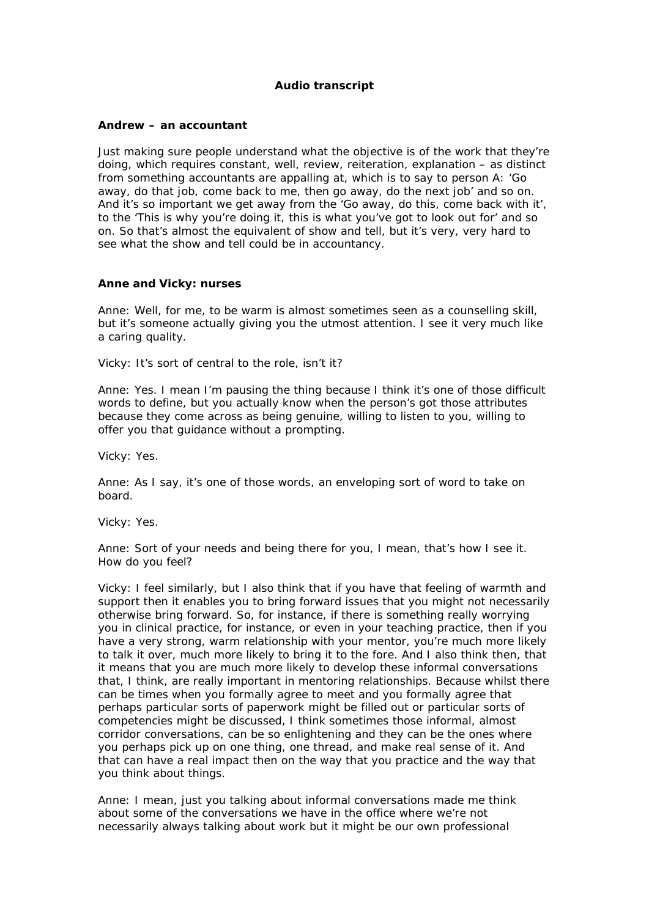## **Audio transcript**

## **Andrew – an accountant**

Just making sure people understand what the objective is of the work that they're doing, which requires constant, well, review, reiteration, explanation – as distinct from something accountants are appalling at, which is to say to person A: 'Go away, do that job, come back to me, then go away, do the next job' and so on. And it's so important we get away from the 'Go away, do this, come back with it', to the 'This is why you're doing it, this is what you've got to look out for' and so on. So that's almost the equivalent of show and tell, but it's very, very hard to see what the show and tell could be in accountancy.

## **Anne and Vicky: nurses**

Anne: Well, for me, to be warm is almost sometimes seen as a counselling skill, but it's someone actually giving you the utmost attention. I see it very much like a caring quality.

Vicky: It's sort of central to the role, isn't it?

Anne: Yes. I mean I'm pausing the thing because I think it's one of those difficult words to define, but you actually know when the person's got those attributes because they come across as being genuine, willing to listen to you, willing to offer you that guidance without a prompting.

Vicky: Yes.

Anne: As I say, it's one of those words, an enveloping sort of word to take on board.

Vicky: Yes.

Anne: Sort of your needs and being there for you, I mean, that's how I see it. How do you feel?

Vicky: I feel similarly, but I also think that if you have that feeling of warmth and support then it enables you to bring forward issues that you might not necessarily otherwise bring forward. So, for instance, if there is something really worrying you in clinical practice, for instance, or even in your teaching practice, then if you have a very strong, warm relationship with your mentor, you're much more likely to talk it over, much more likely to bring it to the fore. And I also think then, that it means that you are much more likely to develop these informal conversations that, I think, are really important in mentoring relationships. Because whilst there can be times when you formally agree to meet and you formally agree that perhaps particular sorts of paperwork might be filled out or particular sorts of competencies might be discussed, I think sometimes those informal, almost corridor conversations, can be so enlightening and they can be the ones where you perhaps pick up on one thing, one thread, and make real sense of it. And that can have a real impact then on the way that you practice and the way that you think about things.

Anne: I mean, just you talking about informal conversations made me think about some of the conversations we have in the office where we're not necessarily always talking about work but it might be our own professional